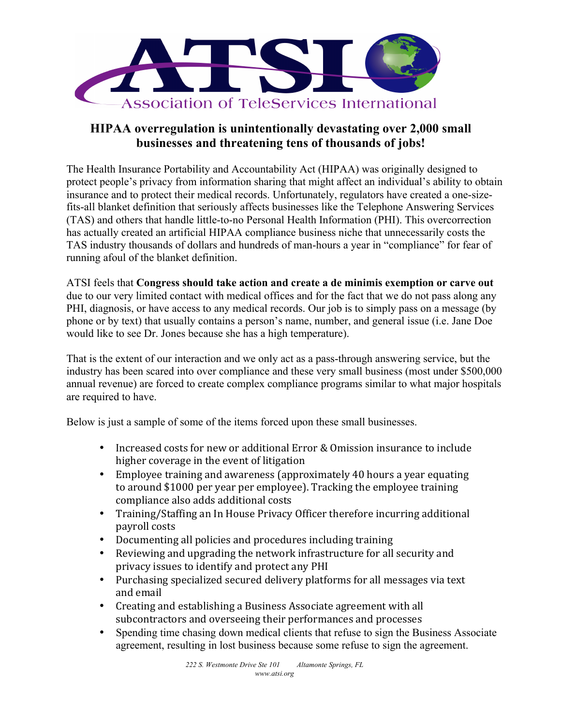

## **HIPAA overregulation is unintentionally devastating over 2,000 small businesses and threatening tens of thousands of jobs!**

The Health Insurance Portability and Accountability Act (HIPAA) was originally designed to protect people's privacy from information sharing that might affect an individual's ability to obtain insurance and to protect their medical records. Unfortunately, regulators have created a one-sizefits-all blanket definition that seriously affects businesses like the Telephone Answering Services (TAS) and others that handle little-to-no Personal Health Information (PHI). This overcorrection has actually created an artificial HIPAA compliance business niche that unnecessarily costs the TAS industry thousands of dollars and hundreds of man-hours a year in "compliance" for fear of running afoul of the blanket definition.

ATSI feels that **Congress should take action and create a de minimis exemption or carve out** due to our very limited contact with medical offices and for the fact that we do not pass along any PHI, diagnosis, or have access to any medical records. Our job is to simply pass on a message (by phone or by text) that usually contains a person's name, number, and general issue (i.e. Jane Doe would like to see Dr. Jones because she has a high temperature).

That is the extent of our interaction and we only act as a pass-through answering service, but the industry has been scared into over compliance and these very small business (most under \$500,000 annual revenue) are forced to create complex compliance programs similar to what major hospitals are required to have.

Below is just a sample of some of the items forced upon these small businesses.

- Increased costs for new or additional Error & Omission insurance to include higher coverage in the event of litigation
- Employee training and awareness (approximately 40 hours a year equating to around \$1000 per year per employee). Tracking the employee training compliance also adds additional costs
- Training/Staffing an In House Privacy Officer therefore incurring additional payroll costs
- Documenting all policies and procedures including training
- Reviewing and upgrading the network infrastructure for all security and privacy issues to identify and protect any PHI
- Purchasing specialized secured delivery platforms for all messages via text and email
- Creating and establishing a Business Associate agreement with all subcontractors and overseeing their performances and processes
- Spending time chasing down medical clients that refuse to sign the Business Associate agreement, resulting in lost business because some refuse to sign the agreement.